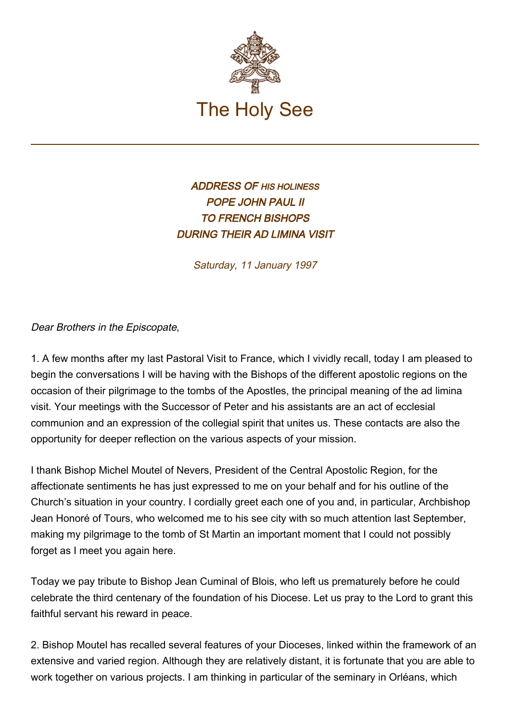

## ADDRESS OF HIS HOLINESS POPE JOHN PAUL II TO FRENCH BISHOPS DURING THEIR AD LIMINA VISIT

Saturday, 11 January 1997

Dear Brothers in the Episcopate,

1. A few months after my last Pastoral Visit to France, which I vividly recall, today I am pleased to begin the conversations I will be having with the Bishops of the different apostolic regions on the occasion of their pilgrimage to the tombs of the Apostles, the principal meaning of the ad limina visit. Your meetings with the Successor of Peter and his assistants are an act of ecclesial communion and an expression of the collegial spirit that unites us. These contacts are also the opportunity for deeper reflection on the various aspects of your mission.

I thank Bishop Michel Moutel of Nevers, President of the Central Apostolic Region, for the affectionate sentiments he has just expressed to me on your behalf and for his outline of the Church's situation in your country. I cordially greet each one of you and, in particular, Archbishop Jean Honoré of Tours, who welcomed me to his see city with so much attention last September, making my pilgrimage to the tomb of St Martin an important moment that I could not possibly forget as I meet you again here.

Today we pay tribute to Bishop Jean Cuminal of Blois, who left us prematurely before he could celebrate the third centenary of the foundation of his Diocese. Let us pray to the Lord to grant this faithful servant his reward in peace.

2. Bishop Moutel has recalled several features of your Dioceses, linked within the framework of an extensive and varied region. Although they are relatively distant, it is fortunate that you are able to work together on various projects. I am thinking in particular of the seminary in Orléans, which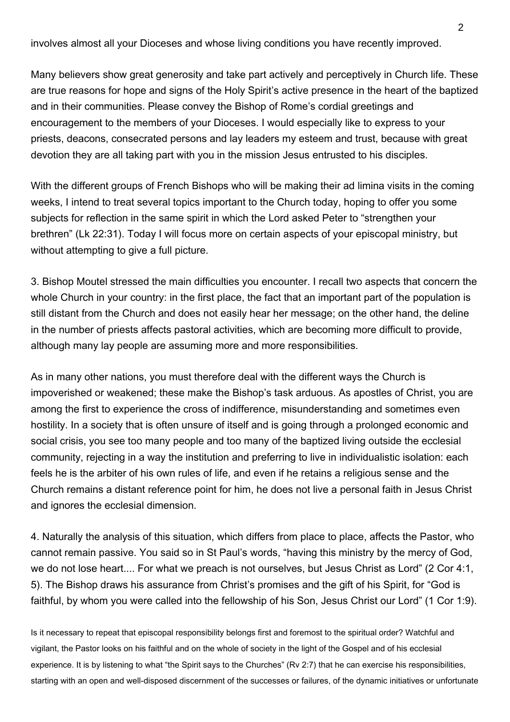involves almost all your Dioceses and whose living conditions you have recently improved.

Many believers show great generosity and take part actively and perceptively in Church life. These are true reasons for hope and signs of the Holy Spirit's active presence in the heart of the baptized and in their communities. Please convey the Bishop of Rome's cordial greetings and encouragement to the members of your Dioceses. I would especially like to express to your priests, deacons, consecrated persons and lay leaders my esteem and trust, because with great devotion they are all taking part with you in the mission Jesus entrusted to his disciples.

With the different groups of French Bishops who will be making their ad limina visits in the coming weeks, I intend to treat several topics important to the Church today, hoping to offer you some subjects for reflection in the same spirit in which the Lord asked Peter to "strengthen your brethren" (Lk 22:31). Today I will focus more on certain aspects of your episcopal ministry, but without attempting to give a full picture.

3. Bishop Moutel stressed the main difficulties you encounter. I recall two aspects that concern the whole Church in your country: in the first place, the fact that an important part of the population is still distant from the Church and does not easily hear her message; on the other hand, the deline in the number of priests affects pastoral activities, which are becoming more difficult to provide, although many lay people are assuming more and more responsibilities.

As in many other nations, you must therefore deal with the different ways the Church is impoverished or weakened; these make the Bishop's task arduous. As apostles of Christ, you are among the first to experience the cross of indifference, misunderstanding and sometimes even hostility. In a society that is often unsure of itself and is going through a prolonged economic and social crisis, you see too many people and too many of the baptized living outside the ecclesial community, rejecting in a way the institution and preferring to live in individualistic isolation: each feels he is the arbiter of his own rules of life, and even if he retains a religious sense and the Church remains a distant reference point for him, he does not live a personal faith in Jesus Christ and ignores the ecclesial dimension.

4. Naturally the analysis of this situation, which differs from place to place, affects the Pastor, who cannot remain passive. You said so in St Paul's words, "having this ministry by the mercy of God, we do not lose heart.... For what we preach is not ourselves, but Jesus Christ as Lord" (2 Cor 4:1, 5). The Bishop draws his assurance from Christ's promises and the gift of his Spirit, for "God is faithful, by whom you were called into the fellowship of his Son, Jesus Christ our Lord" (1 Cor 1:9).

Is it necessary to repeat that episcopal responsibility belongs first and foremost to the spiritual order? Watchful and vigilant, the Pastor looks on his faithful and on the whole of society in the light of the Gospel and of his ecclesial experience. It is by listening to what "the Spirit says to the Churches" (Rv 2:7) that he can exercise his responsibilities, starting with an open and well-disposed discernment of the successes or failures, of the dynamic initiatives or unfortunate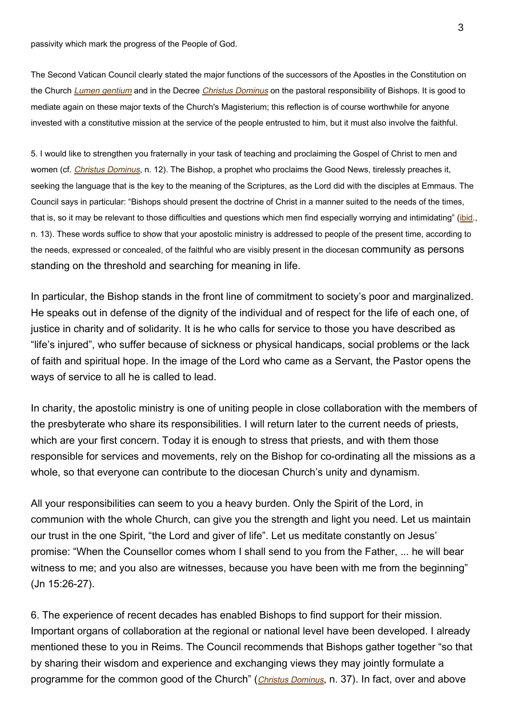passivity which mark the progress of the People of God.

The Second Vatican Council clearly stated the major functions of the successors of the Apostles in the Constitution on the Church [Lumen gentium](http://localhost/archive/hist_councils/ii_vatican_council/documents/vat-ii_const_19641121_lumen-gentium_en.html) and in the Decree [Christus Dominus](http://localhost/archive/hist_councils/ii_vatican_council/documents/vat-ii_decree_19651028_christus-dominus_en.html) on the pastoral responsibility of Bishops. It is good to mediate again on these major texts of the Church's Magisterium; this reflection is of course worthwhile for anyone invested with a constitutive mission at the service of the people entrusted to him, but it must also involve the faithful.

5. I would like to strengthen you fraternally in your task of teaching and proclaiming the Gospel of Christ to men and women (cf. [Christus Dominus](http://localhost/archive/hist_councils/ii_vatican_council/documents/vat-ii_decree_19651028_christus-dominus_en.html), n. 12). The Bishop, a prophet who proclaims the Good News, tirelessly preaches it, seeking the language that is the key to the meaning of the Scriptures, as the Lord did with the disciples at Emmaus. The Council says in particular: "Bishops should present the doctrine of Christ in a manner suited to the needs of the times, that is, so it may be relevant to those difficulties and questions which men find especially worrying and intimidating" [\(ibid.](http://localhost/archive/hist_councils/ii_vatican_council/documents/vat-ii_decree_19651028_christus-dominus_en.html), n. 13). These words suffice to show that your apostolic ministry is addressed to people of the present time, according to the needs, expressed or concealed, of the faithful who are visibly present in the diocesan community as persons standing on the threshold and searching for meaning in life.

In particular, the Bishop stands in the front line of commitment to society's poor and marginalized. He speaks out in defense of the dignity of the individual and of respect for the life of each one, of justice in charity and of solidarity. It is he who calls for service to those you have described as "life's injured", who suffer because of sickness or physical handicaps, social problems or the lack of faith and spiritual hope. In the image of the Lord who came as a Servant, the Pastor opens the ways of service to all he is called to lead.

In charity, the apostolic ministry is one of uniting people in close collaboration with the members of the presbyterate who share its responsibilities. I will return later to the current needs of priests, which are your first concern. Today it is enough to stress that priests, and with them those responsible for services and movements, rely on the Bishop for co-ordinating all the missions as a whole, so that everyone can contribute to the diocesan Church's unity and dynamism.

All your responsibilities can seem to you a heavy burden. Only the Spirit of the Lord, in communion with the whole Church, can give you the strength and light you need. Let us maintain our trust in the one Spirit, "the Lord and giver of life". Let us meditate constantly on Jesus' promise: "When the Counsellor comes whom I shall send to you from the Father, ... he will bear witness to me; and you also are witnesses, because you have been with me from the beginning" (Jn 15:26-27).

6. The experience of recent decades has enabled Bishops to find support for their mission. Important organs of collaboration at the regional or national level have been developed. I already mentioned these to you in Reims. The Council recommends that Bishops gather together "so that by sharing their wisdom and experience and exchanging views they may jointly formulate a programme for the common good of the Church" ([Christus Dominus](http://localhost/archive/hist_councils/ii_vatican_council/documents/vat-ii_decree_19651028_christus-dominus_en.html), n. 37). In fact, over and above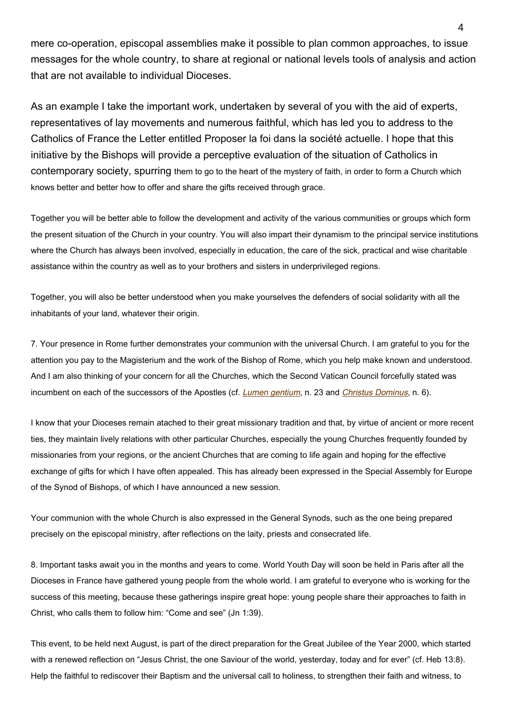mere co-operation, episcopal assemblies make it possible to plan common approaches, to issue messages for the whole country, to share at regional or national levels tools of analysis and action that are not available to individual Dioceses.

As an example I take the important work, undertaken by several of you with the aid of experts, representatives of lay movements and numerous faithful, which has led you to address to the Catholics of France the Letter entitled Proposer la foi dans la société actuelle. I hope that this initiative by the Bishops will provide a perceptive evaluation of the situation of Catholics in contemporary society, spurring them to go to the heart of the mystery of faith, in order to form a Church which knows better and better how to offer and share the gifts received through grace.

Together you will be better able to follow the development and activity of the various communities or groups which form the present situation of the Church in your country. You will also impart their dynamism to the principal service institutions where the Church has always been involved, especially in education, the care of the sick, practical and wise charitable assistance within the country as well as to your brothers and sisters in underprivileged regions.

Together, you will also be better understood when you make yourselves the defenders of social solidarity with all the inhabitants of your land, whatever their origin.

7. Your presence in Rome further demonstrates your communion with the universal Church. I am grateful to you for the attention you pay to the Magisterium and the work of the Bishop of Rome, which you help make known and understood. And I am also thinking of your concern for all the Churches, which the Second Vatican Council forcefully stated was incumbent on each of the successors of the Apostles (cf. [Lumen gentium](http://localhost/archive/hist_councils/ii_vatican_council/documents/vat-ii_const_19641121_lumen-gentium_en.html), n. 23 and [Christus Dominus](http://localhost/archive/hist_councils/ii_vatican_council/documents/vat-ii_decree_19651028_christus-dominus_en.html), n. 6).

I know that your Dioceses remain atached to their great missionary tradition and that, by virtue of ancient or more recent ties, they maintain lively relations with other particular Churches, especially the young Churches frequently founded by missionaries from your regions, or the ancient Churches that are coming to life again and hoping for the effective exchange of gifts for which I have often appealed. This has already been expressed in the Special Assembly for Europe of the Synod of Bishops, of which I have announced a new session.

Your communion with the whole Church is also expressed in the General Synods, such as the one being prepared precisely on the episcopal ministry, after reflections on the laity, priests and consecrated life.

8. Important tasks await you in the months and years to come. World Youth Day will soon be held in Paris after all the Dioceses in France have gathered young people from the whole world. I am grateful to everyone who is working for the success of this meeting, because these gatherings inspire great hope: young people share their approaches to faith in Christ, who calls them to follow him: "Come and see" (Jn 1:39).

This event, to be held next August, is part of the direct preparation for the Great Jubilee of the Year 2000, which started with a renewed reflection on "Jesus Christ, the one Saviour of the world, yesterday, today and for ever" (cf. Heb 13:8). Help the faithful to rediscover their Baptism and the universal call to holiness, to strengthen their faith and witness, to